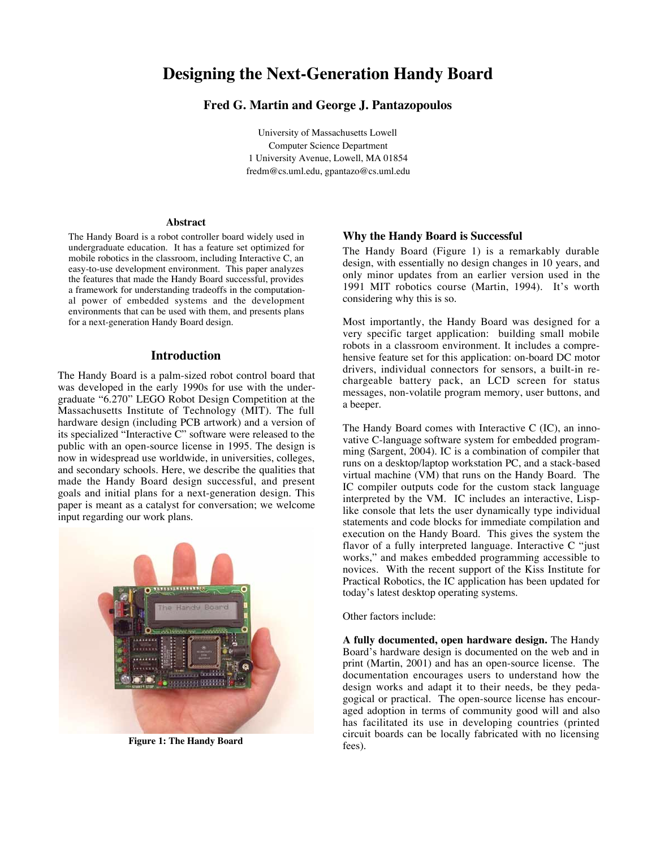# **Designing the Next-Generation Handy Board**

**Fred G. Martin and George J. Pantazopoulos**

University of Massachusetts Lowell Computer Science Department 1 University Avenue, Lowell, MA 01854 fredm@cs.uml.edu, gpantazo@cs.uml.edu

#### **Abstract**

The Handy Board is a robot controller board widely used in undergraduate education. It has a feature set optimized for mobile robotics in the classroom, including Interactive C, an easy-to-use development environment. This paper analyzes the features that made the Handy Board successful, provides a framework for understanding tradeoffs in the computational power of embedded systems and the development environments that can be used with them, and presents plans for a next-generation Handy Board design.

## **Introduction**

The Handy Board is a palm-sized robot control board that was developed in the early 1990s for use with the undergraduate "6.270" LEGO Robot Design Competition at the Massachusetts Institute of Technology (MIT). The full hardware design (including PCB artwork) and a version of its specialized "Interactive C" software were released to the public with an open-source license in 1995. The design is now in widespread use worldwide, in universities, colleges, and secondary schools. Here, we describe the qualities that made the Handy Board design successful, and present goals and initial plans for a next-generation design. This paper is meant as a catalyst for conversation; we welcome input regarding our work plans.



**Figure 1: The Handy Board**

#### **Why the Handy Board is Successful**

The Handy Board (Figure 1) is a remarkably durable design, with essentially no design changes in 10 years, and only minor updates from an earlier version used in the 1991 MIT robotics course (Martin, 1994). It's worth considering why this is so.

Most importantly, the Handy Board was designed for a very specific target application: building small mobile robots in a classroom environment. It includes a comprehensive feature set for this application: on-board DC motor drivers, individual connectors for sensors, a built-in rechargeable battery pack, an LCD screen for status messages, non-volatile program memory, user buttons, and a beeper.

The Handy Board comes with Interactive C (IC), an innovative C-language software system for embedded programming (Sargent, 2004). IC is a combination of compiler that runs on a desktop/laptop workstation PC, and a stack-based virtual machine (VM) that runs on the Handy Board. The IC compiler outputs code for the custom stack language interpreted by the VM. IC includes an interactive, Lisplike console that lets the user dynamically type individual statements and code blocks for immediate compilation and execution on the Handy Board. This gives the system the flavor of a fully interpreted language. Interactive C "just works," and makes embedded programming accessible to novices. With the recent support of the Kiss Institute for Practical Robotics, the IC application has been updated for today's latest desktop operating systems.

Other factors include:

**A fully documented, open hardware design.** The Handy Board's hardware design is documented on the web and in print (Martin, 2001) and has an open-source license. The documentation encourages users to understand how the design works and adapt it to their needs, be they pedagogical or practical. The open-source license has encouraged adoption in terms of community good will and also has facilitated its use in developing countries (printed circuit boards can be locally fabricated with no licensing fees).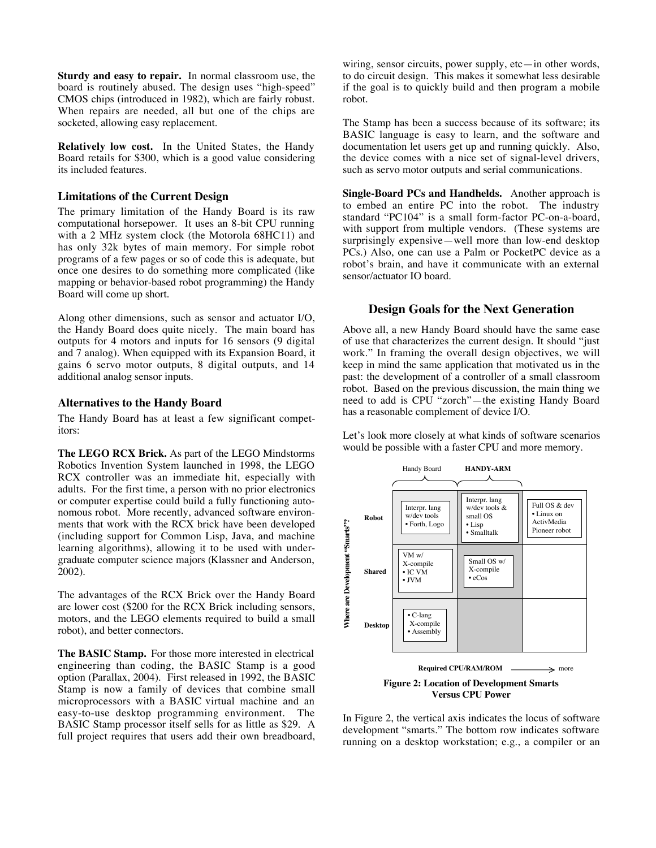**Sturdy and easy to repair.** In normal classroom use, the board is routinely abused. The design uses "high-speed" CMOS chips (introduced in 1982), which are fairly robust. When repairs are needed, all but one of the chips are socketed, allowing easy replacement.

**Relatively low cost.** In the United States, the Handy Board retails for \$300, which is a good value considering its included features.

## **Limitations of the Current Design**

The primary limitation of the Handy Board is its raw computational horsepower. It uses an 8-bit CPU running with a 2 MHz system clock (the Motorola 68HC11) and has only 32k bytes of main memory. For simple robot programs of a few pages or so of code this is adequate, but once one desires to do something more complicated (like mapping or behavior-based robot programming) the Handy Board will come up short.

Along other dimensions, such as sensor and actuator I/O, the Handy Board does quite nicely. The main board has outputs for 4 motors and inputs for 16 sensors (9 digital and 7 analog). When equipped with its Expansion Board, it gains 6 servo motor outputs, 8 digital outputs, and 14 additional analog sensor inputs.

#### **Alternatives to the Handy Board**

The Handy Board has at least a few significant competitors:

**The LEGO RCX Brick.** As part of the LEGO Mindstorms Robotics Invention System launched in 1998, the LEGO RCX controller was an immediate hit, especially with adults. For the first time, a person with no prior electronics or computer expertise could build a fully functioning autonomous robot. More recently, advanced software environments that work with the RCX brick have been developed (including support for Common Lisp, Java, and machine learning algorithms), allowing it to be used with undergraduate computer science majors (Klassner and Anderson, 2002).

The advantages of the RCX Brick over the Handy Board are lower cost (\$200 for the RCX Brick including sensors, motors, and the LEGO elements required to build a small robot), and better connectors.

**The BASIC Stamp.** For those more interested in electrical engineering than coding, the BASIC Stamp is a good option (Parallax, 2004). First released in 1992, the BASIC Stamp is now a family of devices that combine small microprocessors with a BASIC virtual machine and an easy-to-use desktop programming environment. The BASIC Stamp processor itself sells for as little as \$29. A full project requires that users add their own breadboard,

wiring, sensor circuits, power supply, etc—in other words, to do circuit design. This makes it somewhat less desirable if the goal is to quickly build and then program a mobile robot.

The Stamp has been a success because of its software; its BASIC language is easy to learn, and the software and documentation let users get up and running quickly. Also, the device comes with a nice set of signal-level drivers, such as servo motor outputs and serial communications.

**Single-Board PCs and Handhelds.** Another approach is to embed an entire PC into the robot. The industry standard "PC104" is a small form-factor PC-on-a-board, with support from multiple vendors. (These systems are surprisingly expensive—well more than low-end desktop PCs.) Also, one can use a Palm or PocketPC device as a robot's brain, and have it communicate with an external sensor/actuator IO board.

## **Design Goals for the Next Generation**

Above all, a new Handy Board should have the same ease of use that characterizes the current design. It should "just work." In framing the overall design objectives, we will keep in mind the same application that motivated us in the past: the development of a controller of a small classroom robot. Based on the previous discussion, the main thing we need to add is CPU "zorch"—the existing Handy Board has a reasonable complement of device I/O.

Let's look more closely at what kinds of software scenarios would be possible with a faster CPU and more memory.



In Figure 2, the vertical axis indicates the locus of software development "smarts." The bottom row indicates software running on a desktop workstation; e.g., a compiler or an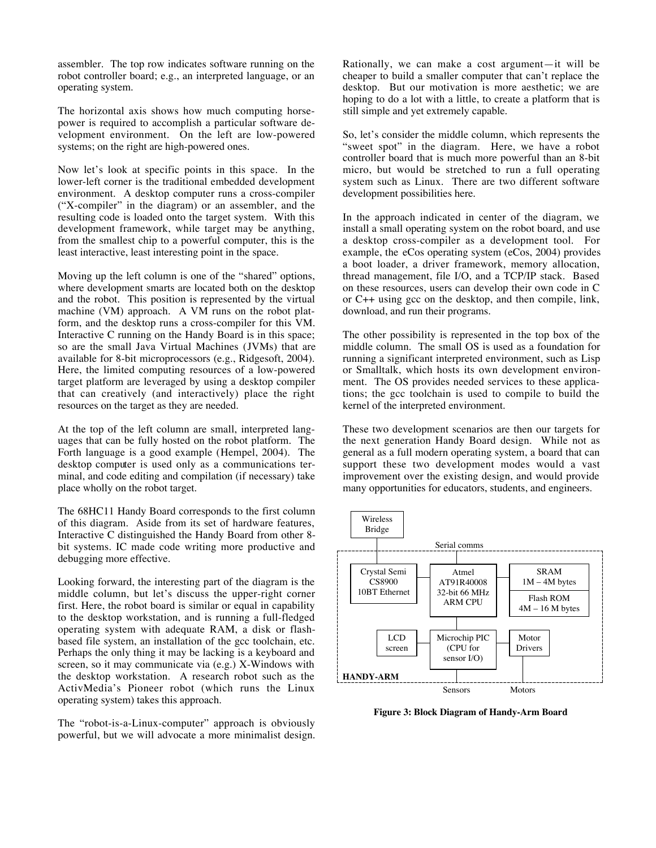assembler. The top row indicates software running on the robot controller board; e.g., an interpreted language, or an operating system.

The horizontal axis shows how much computing horsepower is required to accomplish a particular software development environment. On the left are low-powered systems; on the right are high-powered ones.

Now let's look at specific points in this space. In the lower-left corner is the traditional embedded development environment. A desktop computer runs a cross-compiler ("X-compiler" in the diagram) or an assembler, and the resulting code is loaded onto the target system. With this development framework, while target may be anything, from the smallest chip to a powerful computer, this is the least interactive, least interesting point in the space.

Moving up the left column is one of the "shared" options, where development smarts are located both on the desktop and the robot. This position is represented by the virtual machine (VM) approach. A VM runs on the robot platform, and the desktop runs a cross-compiler for this VM. Interactive C running on the Handy Board is in this space; so are the small Java Virtual Machines (JVMs) that are available for 8-bit microprocessors (e.g., Ridgesoft, 2004). Here, the limited computing resources of a low-powered target platform are leveraged by using a desktop compiler that can creatively (and interactively) place the right resources on the target as they are needed.

At the top of the left column are small, interpreted languages that can be fully hosted on the robot platform. The Forth language is a good example (Hempel, 2004). The desktop computer is used only as a communications terminal, and code editing and compilation (if necessary) take place wholly on the robot target.

The 68HC11 Handy Board corresponds to the first column of this diagram. Aside from its set of hardware features, Interactive C distinguished the Handy Board from other 8 bit systems. IC made code writing more productive and debugging more effective.

Looking forward, the interesting part of the diagram is the middle column, but let's discuss the upper-right corner first. Here, the robot board is similar or equal in capability to the desktop workstation, and is running a full-fledged operating system with adequate RAM, a disk or flashbased file system, an installation of the gcc toolchain, etc. Perhaps the only thing it may be lacking is a keyboard and screen, so it may communicate via (e.g.) X-Windows with the desktop workstation. A research robot such as the ActivMedia's Pioneer robot (which runs the Linux operating system) takes this approach.

The "robot-is-a-Linux-computer" approach is obviously powerful, but we will advocate a more minimalist design. Rationally, we can make a cost argument—it will be cheaper to build a smaller computer that can't replace the desktop. But our motivation is more aesthetic; we are hoping to do a lot with a little, to create a platform that is still simple and yet extremely capable.

So, let's consider the middle column, which represents the "sweet spot" in the diagram. Here, we have a robot controller board that is much more powerful than an 8-bit micro, but would be stretched to run a full operating system such as Linux. There are two different software development possibilities here.

In the approach indicated in center of the diagram, we install a small operating system on the robot board, and use a desktop cross-compiler as a development tool. For example, the eCos operating system (eCos, 2004) provides a boot loader, a driver framework, memory allocation, thread management, file I/O, and a TCP/IP stack. Based on these resources, users can develop their own code in C or C++ using gcc on the desktop, and then compile, link, download, and run their programs.

The other possibility is represented in the top box of the middle column. The small OS is used as a foundation for running a significant interpreted environment, such as Lisp or Smalltalk, which hosts its own development environment. The OS provides needed services to these applications; the gcc toolchain is used to compile to build the kernel of the interpreted environment.

These two development scenarios are then our targets for the next generation Handy Board design. While not as general as a full modern operating system, a board that can support these two development modes would a vast improvement over the existing design, and would provide many opportunities for educators, students, and engineers.



**Figure 3: Block Diagram of Handy-Arm Board**